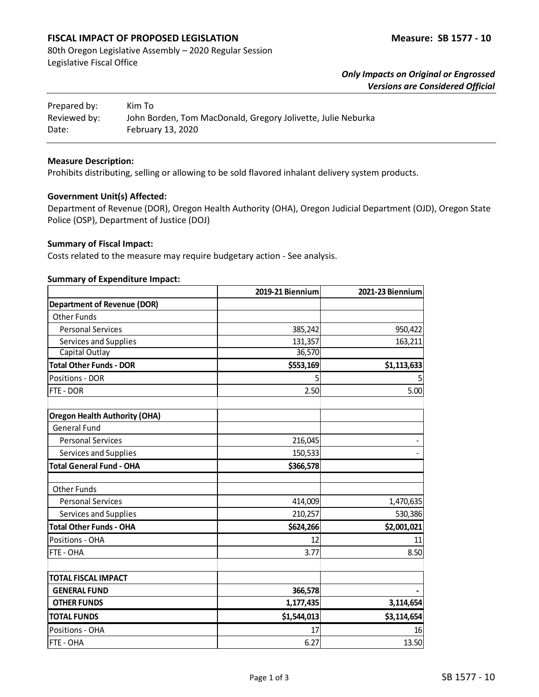## **FISCAL IMPACT OF PROPOSED LEGISLATION Measure: SB 1577 - 10**

80th Oregon Legislative Assembly – 2020 Regular Session Legislative Fiscal Office

> *Only Impacts on Original or Engrossed Versions are Considered Official*

| Prepared by: | Kim To                                                       |
|--------------|--------------------------------------------------------------|
| Reviewed by: | John Borden, Tom MacDonald, Gregory Jolivette, Julie Neburka |
| Date:        | February 13, 2020                                            |

### **Measure Description:**

Prohibits distributing, selling or allowing to be sold flavored inhalant delivery system products.

#### **Government Unit(s) Affected:**

Department of Revenue (DOR), Oregon Health Authority (OHA), Oregon Judicial Department (OJD), Oregon State Police (OSP), Department of Justice (DOJ)

### **Summary of Fiscal Impact:**

Costs related to the measure may require budgetary action - See analysis.

#### **Summary of Expenditure Impact:**

|                                      | 2019-21 Biennium | 2021-23 Biennium |
|--------------------------------------|------------------|------------------|
| <b>Department of Revenue (DOR)</b>   |                  |                  |
| <b>Other Funds</b>                   |                  |                  |
| <b>Personal Services</b>             | 385,242          | 950,422          |
| Services and Supplies                | 131,357          | 163,211          |
| Capital Outlay                       | 36,570           |                  |
| <b>Total Other Funds - DOR</b>       | \$553,169        | \$1,113,633      |
| <b>Positions - DOR</b>               | 5                |                  |
| FTE - DOR                            | 2.50             | 5.00             |
| <b>Oregon Health Authority (OHA)</b> |                  |                  |
| <b>General Fund</b>                  |                  |                  |
| <b>Personal Services</b>             | 216,045          |                  |
| Services and Supplies                | 150,533          |                  |
| <b>Total General Fund - OHA</b>      | \$366,578        |                  |
| <b>Other Funds</b>                   |                  |                  |
| <b>Personal Services</b>             | 414,009          | 1,470,635        |
| Services and Supplies                | 210,257          | 530,386          |
| <b>Total Other Funds - OHA</b>       | \$624,266        | \$2,001,021      |
| Positions - OHA                      | 12               | 11               |
| FTE - OHA                            | 3.77             | 8.50             |
| <b>TOTAL FISCAL IMPACT</b>           |                  |                  |
| <b>GENERAL FUND</b>                  | 366,578          |                  |
| <b>OTHER FUNDS</b>                   | 1,177,435        | 3,114,654        |
| <b>TOTAL FUNDS</b>                   | \$1,544,013      | \$3,114,654      |
| Positions - OHA                      | 17               | 16               |
| FTE - OHA                            | 6.27             | 13.50            |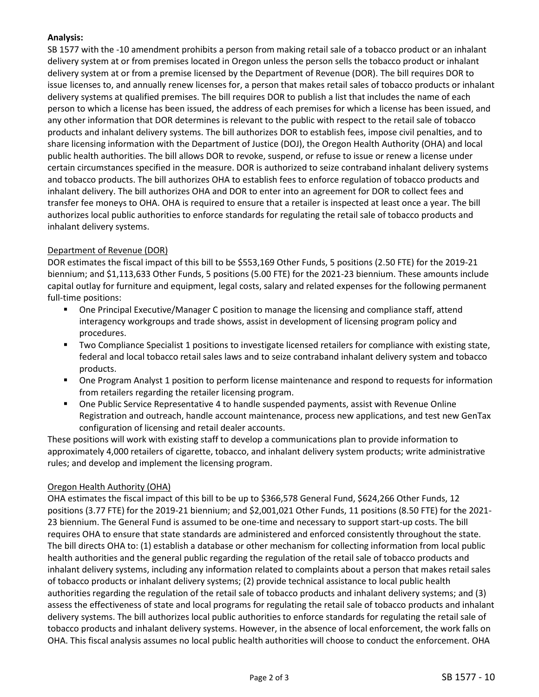## **Analysis:**

SB 1577 with the -10 amendment prohibits a person from making retail sale of a tobacco product or an inhalant delivery system at or from premises located in Oregon unless the person sells the tobacco product or inhalant delivery system at or from a premise licensed by the Department of Revenue (DOR). The bill requires DOR to issue licenses to, and annually renew licenses for, a person that makes retail sales of tobacco products or inhalant delivery systems at qualified premises. The bill requires DOR to publish a list that includes the name of each person to which a license has been issued, the address of each premises for which a license has been issued, and any other information that DOR determines is relevant to the public with respect to the retail sale of tobacco products and inhalant delivery systems. The bill authorizes DOR to establish fees, impose civil penalties, and to share licensing information with the Department of Justice (DOJ), the Oregon Health Authority (OHA) and local public health authorities. The bill allows DOR to revoke, suspend, or refuse to issue or renew a license under certain circumstances specified in the measure. DOR is authorized to seize contraband inhalant delivery systems and tobacco products. The bill authorizes OHA to establish fees to enforce regulation of tobacco products and inhalant delivery. The bill authorizes OHA and DOR to enter into an agreement for DOR to collect fees and transfer fee moneys to OHA. OHA is required to ensure that a retailer is inspected at least once a year. The bill authorizes local public authorities to enforce standards for regulating the retail sale of tobacco products and inhalant delivery systems.

# Department of Revenue (DOR)

DOR estimates the fiscal impact of this bill to be \$553,169 Other Funds, 5 positions (2.50 FTE) for the 2019-21 biennium; and \$1,113,633 Other Funds, 5 positions (5.00 FTE) for the 2021-23 biennium. These amounts include capital outlay for furniture and equipment, legal costs, salary and related expenses for the following permanent full-time positions:

- **One Principal Executive/Manager C position to manage the licensing and compliance staff, attend** interagency workgroups and trade shows, assist in development of licensing program policy and procedures.
- Two Compliance Specialist 1 positions to investigate licensed retailers for compliance with existing state, federal and local tobacco retail sales laws and to seize contraband inhalant delivery system and tobacco products.
- One Program Analyst 1 position to perform license maintenance and respond to requests for information from retailers regarding the retailer licensing program.
- One Public Service Representative 4 to handle suspended payments, assist with Revenue Online Registration and outreach, handle account maintenance, process new applications, and test new GenTax configuration of licensing and retail dealer accounts.

These positions will work with existing staff to develop a communications plan to provide information to approximately 4,000 retailers of cigarette, tobacco, and inhalant delivery system products; write administrative rules; and develop and implement the licensing program.

### Oregon Health Authority (OHA)

OHA estimates the fiscal impact of this bill to be up to \$366,578 General Fund, \$624,266 Other Funds, 12 positions (3.77 FTE) for the 2019-21 biennium; and \$2,001,021 Other Funds, 11 positions (8.50 FTE) for the 2021- 23 biennium. The General Fund is assumed to be one-time and necessary to support start-up costs. The bill requires OHA to ensure that state standards are administered and enforced consistently throughout the state. The bill directs OHA to: (1) establish a database or other mechanism for collecting information from local public health authorities and the general public regarding the regulation of the retail sale of tobacco products and inhalant delivery systems, including any information related to complaints about a person that makes retail sales of tobacco products or inhalant delivery systems; (2) provide technical assistance to local public health authorities regarding the regulation of the retail sale of tobacco products and inhalant delivery systems; and (3) assess the effectiveness of state and local programs for regulating the retail sale of tobacco products and inhalant delivery systems. The bill authorizes local public authorities to enforce standards for regulating the retail sale of tobacco products and inhalant delivery systems. However, in the absence of local enforcement, the work falls on OHA. This fiscal analysis assumes no local public health authorities will choose to conduct the enforcement. OHA